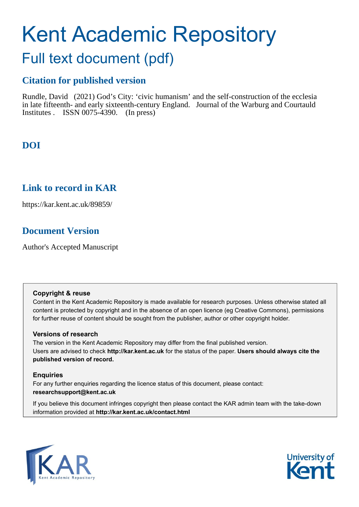# Kent Academic Repository

## Full text document (pdf)

## **Citation for published version**

Rundle, David (2021) God's City: 'civic humanism' and the self-construction of the ecclesia in late fifteenth- and early sixteenth-century England. Journal of the Warburg and Courtauld Institutes . ISSN 0075-4390. (In press)

## **DOI**

## **Link to record in KAR**

https://kar.kent.ac.uk/89859/

## **Document Version**

Author's Accepted Manuscript

### **Copyright & reuse**

Content in the Kent Academic Repository is made available for research purposes. Unless otherwise stated all content is protected by copyright and in the absence of an open licence (eg Creative Commons), permissions for further reuse of content should be sought from the publisher, author or other copyright holder.

### **Versions of research**

The version in the Kent Academic Repository may differ from the final published version. Users are advised to check **http://kar.kent.ac.uk** for the status of the paper. **Users should always cite the published version of record.**

### **Enquiries**

For any further enquiries regarding the licence status of this document, please contact: **researchsupport@kent.ac.uk**

If you believe this document infringes copyright then please contact the KAR admin team with the take-down information provided at **http://kar.kent.ac.uk/contact.html**



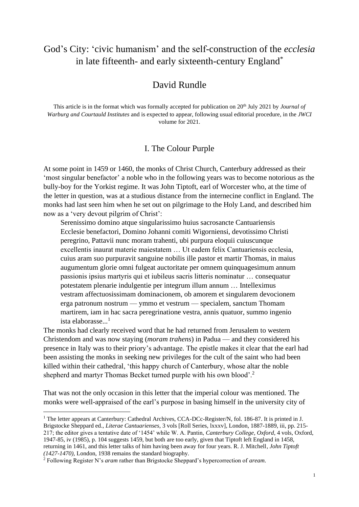## God's City: 'civic humanism' and the self-construction of the *ecclesia* in late fifteenth- and early sixteenth-century England\*

## David Rundle

This article is in the format which was formally accepted for publication on 20th July 2021 by *Journal of Warburg and Courtauld Institutes* and is expected to appear, following usual editorial procedure, in the *JWCI*  volume for 2021.

### I. The Colour Purple

At some point in 1459 or 1460, the monks of Christ Church, Canterbury addressed as their 'most singular benefactor' a noble who in the following years was to become notorious as the bully-boy for the Yorkist regime. It was John Tiptoft, earl of Worcester who, at the time of the letter in question, was at a studious distance from the internecine conflict in England. The monks had last seen him when he set out on pilgrimage to the Holy Land, and described him now as a 'very devout pilgrim of Christ':

Serenissimo domino atque singularissimo huius sacrosancte Cantuariensis Ecclesie benefactori, Domino Johanni comiti Wigorniensi, devotissimo Christi peregrino, Pattavii nunc moram trahenti, ubi purpura eloquii cuiuscunque excellentis inaurat materie maiestatem … Ut eadem felix Cantuariensis ecclesia, cuius aram suo purpuravit sanguine nobilis ille pastor et martir Thomas, in maius augumentum glorie omni fulgeat auctoritate per omnem quinquagesimum annum passionis ipsius martyris qui et iubileus sacris litteris nominatur … consequatur potestatem plenarie indulgentie per integrum illum annum … Intelleximus vestram affectuosissimam dominacionem, ob amorem et singularem devocionem erga patronum nostrum — ymmo et vestrum — specialem, sanctum Thomam martirem, iam in hac sacra peregrinatione vestra, annis quatuor, summo ingenio ista elaborasse... 1

The monks had clearly received word that he had returned from Jerusalem to western Christendom and was now staying (*moram trahens*) in Padua — and they considered his presence in Italy was to their priory's advantage. The epistle makes it clear that the earl had been assisting the monks in seeking new privileges for the cult of the saint who had been killed within their cathedral, 'this happy church of Canterbury, whose altar the noble shepherd and martyr Thomas Becket turned purple with his own blood'.<sup>2</sup>

That was not the only occasion in this letter that the imperial colour was mentioned. The monks were well-appraised of the earl's purpose in basing himself in the university city of

<sup>&</sup>lt;sup>1</sup> The letter appears at Canterbury: Cathedral Archives, CCA-DCc-Register/N, fol. 186-87. It is printed in J. Brigstocke Sheppard ed., *Literae Cantuarienses*, 3 vols [Roll Series, lxxxv], London, 1887-1889, iii, pp. 215- 217; the editor gives a tentative date of '1454' while W. A. Pantin, *Canterbury College, Oxford*, 4 vols, Oxford, 1947-85, iv (1985), p. 104 suggests 1459, but both are too early, given that Tiptoft left England in 1458, returning in 1461, and this letter talks of him having been away for four years. R. J. Mitchell, *John Tiptoft (1427-1470)*, London, 1938 remains the standard biography.

<sup>2</sup> Following Register N's *aram* rather than Brigstocke Sheppard's hypercorrection of *aream*.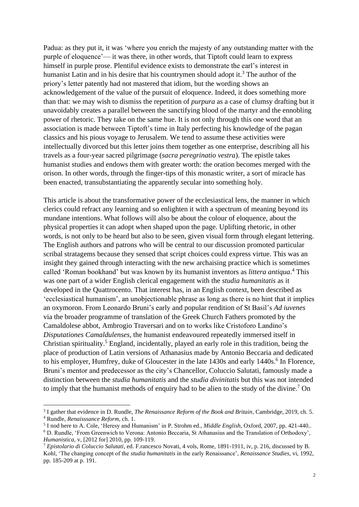Padua: as they put it, it was 'where you enrich the majesty of any outstanding matter with the purple of eloquence'— it was there, in other words, that Tiptoft could learn to express himself in purple prose. Plentiful evidence exists to demonstrate the earl's interest in humanist Latin and in his desire that his countrymen should adopt it.<sup>3</sup> The author of the priory's letter patently had not mastered that idiom, but the wording shows an acknowledgement of the value of the pursuit of eloquence. Indeed, it does something more than that: we may wish to dismiss the repetition of *purpura* as a case of clumsy drafting but it unavoidably creates a parallel between the sanctifying blood of the martyr and the ennobling power of rhetoric. They take on the same hue. It is not only through this one word that an association is made between Tiptoft's time in Italy perfecting his knowledge of the pagan classics and his pious voyage to Jerusalem. We tend to assume these activities were intellectually divorced but this letter joins them together as one enterprise, describing all his travels as a four-year sacred pilgrimage (*sacra peregrinatio vestra*). The epistle takes humanist studies and endows them with greater worth: the oration becomes merged with the orison. In other words, through the finger-tips of this monastic writer, a sort of miracle has been enacted, transubstantiating the apparently secular into something holy.

This article is about the transformative power of the ecclesiastical lens, the manner in which clerics could refract any learning and so enlighten it with a spectrum of meaning beyond its mundane intentions. What follows will also be about the colour of eloquence, about the physical properties it can adopt when shaped upon the page. Uplifting rhetoric, in other words, is not only to be heard but also to be seen, given visual form through elegant lettering. The English authors and patrons who will be central to our discussion promoted particular scribal stratagems because they sensed that script choices could express virtue. This was an insight they gained through interacting with the new archaising practice which is sometimes called 'Roman bookhand' but was known by its humanist inventors as *littera antiqua*. <sup>4</sup> This was one part of a wider English clerical engagement with the *studia humanitatis* as it developed in the Quattrocento. That interest has, in an English context, been described as 'ecclesiastical humanism', an unobjectionable phrase as long as there is no hint that it implies an oxymoron. From Leonardo Bruni's early and popular rendition of St Basil's *Ad iuvenes* via the broader programme of translation of the Greek Church Fathers promoted by the Camaldolese abbot, Ambrogio Traversari and on to works like Cristoforo Landino's *Disputationes Camaldulenses*, the humanist endeavoured repeatedly immersed itself in Christian spirituality.<sup>5</sup> England, incidentally, played an early role in this tradition, being the place of production of Latin versions of Athanasius made by Antonio Beccaria and dedicated to his employer, Humfrey, duke of Gloucester in the late 1430s and early 1440s.<sup>6</sup> In Florence, Bruni's mentor and predecessor as the city's Chancellor, Coluccio Salutati, famously made a distinction between the *studia humanitatis* and the *studia divinitatis* but this was not intended to imply that the humanist methods of enquiry had to be alien to the study of the divine.<sup>7</sup> On

<sup>3</sup> I gather that evidence in D. Rundle, *The Renaissance Reform of the Book and Britain*, Cambridge, 2019, ch. 5. <sup>4</sup> Rundle, *Renaisssance Reform*, ch. 1.

<sup>5</sup> I nod here to A. Cole, 'Heresy and Humanism' in P. Strohm ed., *Middle English*, Oxford, 2007, pp. 421-440..

<sup>6</sup> D. Rundle, 'From Greenwich to Verona: Antonio Beccaria, St Athanasius and the Translation of Orthodoxy', *Humanistica*, v, [2012 for] 2010, pp. 109-119.

<sup>7</sup> *Epistolario di Coluccio Salutati*, ed. F.rancesco Novati, 4 vols, Rome, 1891-1911, iv, p. 216, discussed by B. Kohl, 'The changing concept of the *studia humanitatis* in the early Renaissance', *Renaissance Studies*, vi, 1992, pp. 185-209 at p. 191.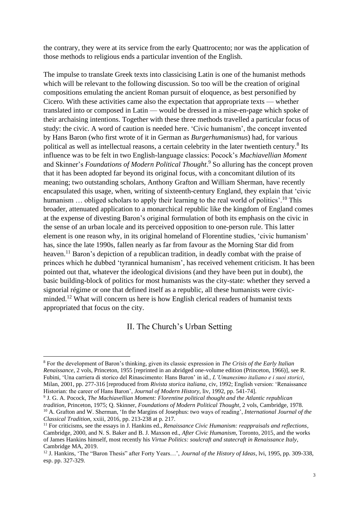the contrary, they were at its service from the early Quattrocento; nor was the application of those methods to religious ends a particular invention of the English.

The impulse to translate Greek texts into classicising Latin is one of the humanist methods which will be relevant to the following discussion. So too will be the creation of original compositions emulating the ancient Roman pursuit of eloquence, as best personified by Cicero. With these activities came also the expectation that appropriate texts — whether translated into or composed in Latin — would be dressed in a mise-en-page which spoke of their archaising intentions. Together with these three methods travelled a particular focus of study: the civic. A word of caution is needed here. 'Civic humanism', the concept invented by Hans Baron (who first wrote of it in German as *Burgerhumanismus*) had, for various political as well as intellectual reasons, a certain celebrity in the later twentieth century.<sup>8</sup> Its influence was to be felt in two English-language classics: Pocock's *Machiavellian Moment*  and Skinner's *Foundations of Modern Political Thought*. <sup>9</sup> So alluring has the concept proven that it has been adopted far beyond its original focus, with a concomitant dilution of its meaning; two outstanding scholars, Anthony Grafton and William Sherman, have recently encapsulated this usage, when, writing of sixteenth-century England, they explain that 'civic humanism ... obliged scholars to apply their learning to the real world of politics'.<sup>10</sup> This broader, attenuated application to a monarchical republic like the kingdom of England comes at the expense of divesting Baron's original formulation of both its emphasis on the civic in the sense of an urban locale and its perceived opposition to one-person rule. This latter element is one reason why, in its original homeland of Florentine studies, 'civic humanism' has, since the late 1990s, fallen nearly as far from favour as the Morning Star did from heaven.<sup>11</sup> Baron's depiction of a republican tradition, in deadly combat with the praise of princes which he dubbed 'tyrannical humanism', has received vehement criticism. It has been pointed out that, whatever the ideological divisions (and they have been put in doubt), the basic building-block of politics for most humanists was the city-state: whether they served a signorial régime or one that defined itself as a republic, all these humanists were civicminded.<sup>12</sup> What will concern us here is how English clerical readers of humanist texts appropriated that focus on the city.

## II. The Church's Urban Setting

9 J. G. A. Pocock, *The Machiavellian Moment: Florentine political thought and the Atlantic republican tradition*, Princeton, 1975; Q. Skinner, *Foundations of Modern Political Thought*, 2 vols, Cambridge, 1978. <sup>10</sup> A. Grafton and W. Sherman, 'In the Margins of Josephus: two ways of reading', *International Journal of the Classical Tradition*, xxiii, 2016, pp. 213-238 at p. 217.

<sup>8</sup> For the development of Baron's thinking, given its classic expression in *The Crisis of the Early Italian Renaissance*, 2 vols, Princeton, 1955 [reprinted in an abridged one-volume edition (Princeton, 1966)], see R. Fubini, 'Una carriera di storico del Rinascimento: Hans Baron' in id., *L'Umanesimo italiano e i suoi storici*, Milan, 2001, pp. 277-316 [reproduced from *Rivista storica italiana,* civ, 1992; English version: 'Renaissance Historian: the career of Hans Baron', *Journal of Modern History,* liv, 1992, pp. 541-74].

<sup>11</sup> For criticisms, see the essays in J. Hankins ed., *Renaissance Civic Humanism: reappraisals and reflections*, Cambridge, 2000, and N. S. Baker and B. J. Maxson ed., *After Civic Humanism*, Toronto, 2015, and the works of James Hankins himself, most recently his *Virtue Politics: soulcraft and statecraft in Renaissance Italy*, Cambridge MA, 2019.

<sup>12</sup> J. Hankins, 'The "Baron Thesis" after Forty Years…', *Journal of the History of Ideas*, lvi, 1995, pp. 309-338, esp. pp. 327-329.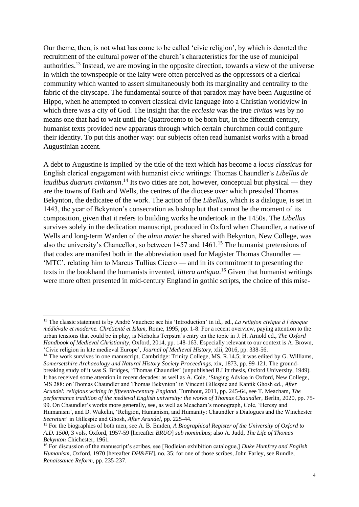Our theme, then, is not what has come to be called 'civic religion', by which is denoted the recruitment of the cultural power of the church's characteristics for the use of municipal authorities.<sup>13</sup> Instead, we are moving in the opposite direction, towards a view of the universe in which the townspeople or the laity were often perceived as the oppressors of a clerical community which wanted to assert simultaneously both its marginality and centrality to the fabric of the cityscape. The fundamental source of that paradox may have been Augustine of Hippo, when he attempted to convert classical civic language into a Christian worldview in which there was a city of God. The insight that the *ecclesia* was the true *civitas* was by no means one that had to wait until the Quattrocento to be born but, in the fifteenth century, humanist texts provided new apparatus through which certain churchmen could configure their identity. To put this another way: our subjects often read humanist works with a broad Augustinian accent.

A debt to Augustine is implied by the title of the text which has become a *locus classicus* for English clerical engagement with humanist civic writings: Thomas Chaundler's *Libellus de laudibus duarum civitatum*.<sup>14</sup> Its two cities are not, however, conceptual but physical — they are the towns of Bath and Wells, the centres of the diocese over which presided Thomas Bekynton, the dedicatee of the work. The action of the *Libellus*, which is a dialogue, is set in 1443, the year of Bekynton's consecration as bishop but that cannot be the moment of its composition, given that it refers to building works he undertook in the 1450s. The *Libellus* survives solely in the dedication manuscript, produced in Oxford when Chaundler, a native of Wells and long-term Warden of the *alma mater* he shared with Bekynton, New College, was also the university's Chancellor, so between 1457 and 1461.<sup>15</sup> The humanist pretensions of that codex are manifest both in the abbreviation used for Magister Thomas Chaundler — 'MTC', relating him to Marcus Tullius Cicero — and in its commitment to presenting the texts in the bookhand the humanists invented, *littera antiqua*. <sup>16</sup> Given that humanist writings were more often presented in mid-century England in gothic scripts, the choice of this mise-

<sup>14</sup> The work survives in one manuscript, Cambridge: Trinity College, MS. R.14.5; it was edited by G. Williams, *Somersetshire Archaeology and Natural History Society Proceedings,* xix, 1873, pp. 99-121. The groundbreaking study of it was S. Bridges, 'Thomas Chaundler' (unpublished B.Litt thesis, Oxford University, 1949). It has received some attention in recent decades: as well as A. Cole, 'Staging Advice in Oxford, New College, MS 288: on Thomas Chaundler and Thomas Bekynton' in Vincent Gillespie and Kantik Ghosh ed., *After Arundel: religious writing in fifteenth-century England*, Turnhout, 2011, pp. 245-64, see T. Meacham, *The performance tradition of the medieval English university: the works of Thomas Chaundler*, Berlin, 2020, pp. 75- 99. On Chaundler's works more generally, see, as well as Meacham's monograph, Cole, 'Heresy and Humanism', and D. Wakelin, 'Religion, Humanism, and Humanity: Chaundler's Dialogues and the Winchester *Secretum*' in Gillespie and Ghosh, *After Arundel*, pp. 225-44.

<sup>13</sup> The classic statement is by André Vauchez: see his 'Introduction' in id., ed., *La religion civique à l'époque médiévale et moderne. Chrétienté et Islam*, Rome, 1995, pp. 1-8. For a recent overview, paying attention to the urban tensions that could be in play, is Nicholas Terpstra's entry on the topic in J. H. Arnold ed., *The Oxford Handbook of Medieval Christianity*, Oxford, 2014, pp. 148-163. Especially relevant to our context is A. Brown, 'Civic religion in late medieval Europe', *Journal of Medieval History*, xlii, 2016, pp. 338-56.

<sup>&</sup>lt;sup>15</sup> For the biographies of both men, see A. B. Emden, *A Biographical Register of the University of Oxford to A.D. 1500*, 3 vols, Oxford, 1957-59 [hereafter *BRUO*] *sub nominibus*; also A. Judd, *The Life of Thomas Bekynton* Chichester, 1961.

<sup>16</sup> For discussion of the manuscript's scribes, see [Bodleian exhibition catalogue,] *Duke Humfrey and English Humanism*, Oxford, 1970 [hereafter *DH&EH*], no. 35; for one of those scribes, John Farley, see Rundle, *Renaissance Reform*, pp. 235-237.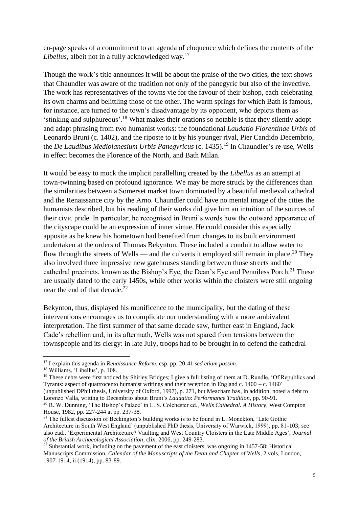en-page speaks of a commitment to an agenda of eloquence which defines the contents of the *Libellus*, albeit not in a fully acknowledged way.<sup>17</sup>

Though the work's title announces it will be about the praise of the two cities, the text shows that Chaundler was aware of the tradition not only of the panegyric but also of the invective. The work has representatives of the towns vie for the favour of their bishop, each celebrating its own charms and belittling those of the other. The warm springs for which Bath is famous, for instance, are turned to the town's disadvantage by its opponent, who depicts them as 'stinking and sulphureous'.<sup>18</sup> What makes their orations so notable is that they silently adopt and adapt phrasing from two humanist works: the foundational *Laudatio Florentinae Urbis* of Leonardo Bruni (c. 1402), and the riposte to it by his younger rival, Pier Candido Decembrio, the *De Laudibus Mediolanesium Urbis Panegyricus* (c. 1435). <sup>19</sup> In Chaundler's re-use, Wells in effect becomes the Florence of the North, and Bath Milan.

It would be easy to mock the implicit parallelling created by the *Libellus* as an attempt at town-twinning based on profound ignorance. We may be more struck by the differences than the similarities between a Somerset market town dominated by a beautiful medieval cathedral and the Renaissance city by the Arno. Chaundler could have no mental image of the cities the humanists described, but his reading of their works did give him an intuition of the sources of their civic pride. In particular, he recognised in Bruni's words how the outward appearance of the cityscape could be an expression of inner virtue. He could consider this especially apposite as he knew his hometown had benefited from changes to its built environment undertaken at the orders of Thomas Bekynton. These included a conduit to allow water to flow through the streets of Wells — and the culverts it employed still remain in place.<sup>20</sup> They also involved three impressive new gatehouses standing between those streets and the cathedral precincts, known as the Bishop's Eye, the Dean's Eye and Penniless Porch.<sup>21</sup> These are usually dated to the early 1450s, while other works within the cloisters were still ongoing near the end of that decade.<sup>22</sup>

Bekynton, thus, displayed his munificence to the municipality, but the dating of these interventions encourages us to complicate our understanding with a more ambivalent interpretation. The first summer of that same decade saw, further east in England, Jack Cade's rebellion and, in its aftermath, Wells was not spared from tensions between the townspeople and its clergy: in late July, troops had to be brought in to defend the cathedral

<sup>17</sup> I explain this agenda in *Renaissance Reform*, esp. pp. 20-41 *sed etiam passim*.

<sup>18</sup> Williams, 'Libellus', p. 108.

<sup>&</sup>lt;sup>19</sup> These debts were first noticed by Shirley Bridges; I give a full listing of them at D. Rundle, 'Of Republics and Tyrants: aspect of quattrocento humanist writings and their reception in England c.  $1400 - c$ .  $1460'$ (unpublished DPhil thesis, University of Oxford, 1997), p. 271, but Meacham has, in addition, noted a debt to

Lorenzo Valla, writing to Decembrio about Bruni's *Laudatio*: *Performance Tradition*, pp. 90-91. <sup>20</sup> R. W. Dunning, 'The Bishop's Palace' in L. S. Colchester ed., *Wells Cathedral. A History*, West Compton

House, 1982, pp. 227-244 at pp. 237-38.

 $21$  The fullest discussion of Beckington's building works is to be found in L. Monckton, 'Late Gothic Architecture in South West England' (unpublished PhD thesis, University of Warwick, 1999), pp. 81-103; see also ead., 'Experimental Architecture? Vaulting and West Country Cloisters in the Late Middle Ages', *Journal of the British Archaeological Association*, clix, 2006, pp. 249-283.

 $^{22}$  Substantial work, including on the pavement of the east cloisters, was ongoing in 1457-58: Historical Manuscripts Commission, *Calendar of the Manuscripts of the Dean and Chapter of Wells*, 2 vols, London, 1907-1914, ii (1914), pp. 83-89.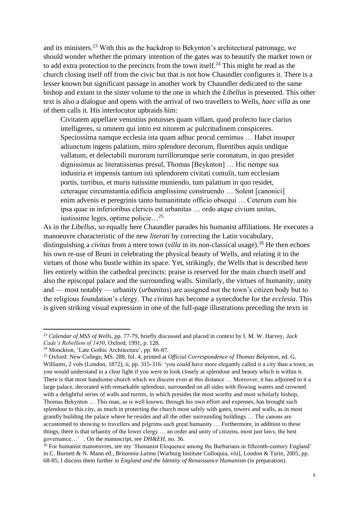and its ministers.<sup>23</sup> With this as the backdrop to Bekynton's architectural patronage, we should wonder whether the primary intention of the gates was to beautify the market town or to add extra protection to the precincts from the town itself.<sup>24</sup> This might be read as the church closing itself off from the civic but that is not how Chaundler configures it. There is a lesser known but significant passage in another work by Chaundler dedicated to the same bishop and extant in the sister volume to the one in which the *Libellus* is presented. This other text is also a dialogue and opens with the arrival of two travellers to Wells, *haec villa* as one of them calls it. His interlocutor upbraids him:

Civitatem appellare venustius potuisses quam villam, quod profecto luce clarius intelligeres, si omnem qui intro est nitorem ac pulcritudinem conspiceres. Speciossima namque ecclesia ista quam adhuc procul cernimus … Habet insuper adiunctum ingens palatium, miro splendore decorum, fluentibus aquis undique vallatum, et delectabili murorum turrillorumque serie coronatum, in quo presidet dignissimus ac literatissimus presul, Thomas [Beyknton] … Hic nempe sua industria et impensis tantum isti splendorem civitati contulit, tum ecclesiam portis, turribus, et muris tutissime muniendo, tum palatium in quo residet, ceteraque circumstantia edificia amplissime construendo … Solent [canonici] enim advenis et peregrinis tanto humanititate officio obsequi … Ceterum cum his ipsa quae in inferioribus clericis est urbanitas … ordo atque civium unitas, iustissime leges, optime policie…<sup>25</sup>

As in the *Libellus*, so equally here Chaundler parades his humanist affiliations. He executes a manoeuvre characteristic of the new *literati* by correcting the Latin vocabulary, distinguishing a *civitas* from a mere town (*villa* in its non-classical usage).<sup>26</sup> He then echoes his own re-use of Bruni in celebrating the physical beauty of Wells, and relating it to the virtues of those who bustle within its space. Yet, strikingly, the Wells that is described here lies entirely within the cathedral precincts: praise is reserved for the main church itself and also the episcopal palace and the surrounding walls. Similarly, the virtues of humanity, unity and — most notably — urbanity (*urbanitas*) are assigned not the town's citizen body but to the religious foundation's clergy. The *civitas* has become a synecdoche for the *ecclesia*. This is given striking visual expression in one of the full-page illustrations preceding the texts in

<sup>23</sup> *Calendar of MSS of Wells*, pp. 77-79, briefly discussed and placed in context by I. M. W. Harvey, *Jack Cade's Rebellion of 1450*, Oxford, 1991, p. 128.

<sup>24</sup> Monckton, 'Late Gothic Architecture', pp. 86-87.

<sup>25</sup> Oxford: New College, MS. 288, fol. 4, printed at *Official Correspondence of Thomas Bekynton*, ed. G. Williams, 2 vols (London, 1872), ii, pp. 315-316: 'you could have more elegantly called it a city than a town, as you would understand in a clear light if you were to look closely at splendour and beauty which is within it. There is that most handsome church which we discern even at this distance … Moreover, it has adjoined to it a large palace, decorated with remarkable splendour, surrounded on all sides with flowing waters and crowned with a delightful series of walls and turrets, in which presides the most worthy and most scholarly bishop, Thomas Bekynton … This man, as is well known, through his own effort and expenses, has brought such splendour to this city, as much in protecting the church most safely with gates, towers and walls, as in most grandly building the palace where he resides and all the other surrounding buildings … The canons are accustomed to showing to travellers and pilgrims such great humanity … Furthermore, in addition to these things, there is that urbanity of the lower clergy … an order and unity of citizens, most just laws, the best governance…' . On the manuscript, see *DH&EH*, no. 36.

 $26$  For humanist manoeuvres, see my 'Humanist Eloquence among the Barbarians in fifteenth-century England' in C. Burnett & N. Mann ed., *Britannia Latina* [Warburg Institute Colloquia, viii], London & Turin, 2005, pp. 68-85; I discuss them further in *England and the Identity of Renaissance Humanism* (in preparation).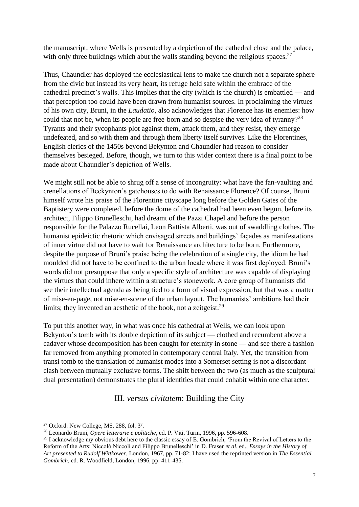the manuscript, where Wells is presented by a depiction of the cathedral close and the palace, with only three buildings which abut the walls standing beyond the religious spaces.<sup>27</sup>

Thus, Chaundler has deployed the ecclesiastical lens to make the church not a separate sphere from the civic but instead its very heart, its refuge held safe within the embrace of the cathedral precinct's walls. This implies that the city (which is the church) is embattled — and that perception too could have been drawn from humanist sources. In proclaiming the virtues of his own city, Bruni, in the *Laudatio*, also acknowledges that Florence has its enemies: how could that not be, when its people are free-born and so despise the very idea of tyranny?<sup>28</sup> Tyrants and their sycophants plot against them, attack them, and they resist, they emerge undefeated, and so with them and through them liberty itself survives. Like the Florentines, English clerics of the 1450s beyond Bekynton and Chaundler had reason to consider themselves besieged. Before, though, we turn to this wider context there is a final point to be made about Chaundler's depiction of Wells.

We might still not be able to shrug off a sense of incongruity: what have the fan-vaulting and crenellations of Beckynton's gatehouses to do with Renaissance Florence? Of course, Bruni himself wrote his praise of the Florentine cityscape long before the Golden Gates of the Baptistery were completed, before the dome of the cathedral had been even begun, before its architect, Filippo Brunelleschi, had dreamt of the Pazzi Chapel and before the person responsible for the Palazzo Rucellai, Leon Battista Alberti, was out of swaddling clothes. The humanist epideictic rhetoric which envisaged streets and buildings' façades as manifestations of inner virtue did not have to wait for Renaissance architecture to be born. Furthermore, despite the purpose of Bruni's praise being the celebration of a single city, the idiom he had moulded did not have to be confined to the urban locale where it was first deployed. Bruni's words did not presuppose that only a specific style of architecture was capable of displaying the virtues that could inhere within a structure's stonework. A core group of humanists did see their intellectual agenda as being tied to a form of visual expression, but that was a matter of mise-en-page, not mise-en-scene of the urban layout. The humanists' ambitions had their limits; they invented an aesthetic of the book, not a zeitgeist.<sup>29</sup>

To put this another way, in what was once his cathedral at Wells, we can look upon Bekynton's tomb with its double depiction of its subject — clothed and recumbent above a cadaver whose decomposition has been caught for eternity in stone — and see there a fashion far removed from anything promoted in contemporary central Italy. Yet, the transition from transi tomb to the translation of humanist modes into a Somerset setting is not a discordant clash between mutually exclusive forms. The shift between the two (as much as the sculptural dual presentation) demonstrates the plural identities that could cohabit within one character.

## III. *versus civitatem*: Building the City

 $27$  Oxford: New College, MS. 288, fol.  $3^{\nu}$ .

<sup>28</sup> Leonardo Bruni, *Opere letterarie e politiche*, ed. P. Viti, Turin, 1996, pp. 596-608.

<sup>&</sup>lt;sup>29</sup> I acknowledge my obvious debt here to the classic essay of E. Gombrich, 'From the Revival of Letters to the Reform of the Arts: Niccolò Niccoli and Filippo Brunelleschi' in D. Fraser *et al*. ed., *Essays in the History of Art presented to Rudolf Wittkower*, London, 1967, pp. 71-82; I have used the reprinted version in *The Essential Gombrich*, ed. R. Woodfield, London, 1996, pp. 411-435.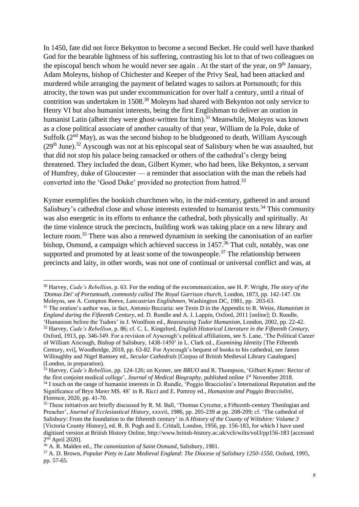In 1450, fate did not force Bekynton to become a second Becket. He could well have thanked God for the bearable lightness of his suffering, contrasting his lot to that of two colleagues on the episcopal bench whom he would never see again. At the start of the year, on  $9<sup>th</sup>$  January, Adam Moleyns, bishop of Chichester and Keeper of the Privy Seal, had been attacked and murdered while arranging the payment of belated wages to sailors at Portsmouth; for this atrocity, the town was put under excommunication for over half a century, until a ritual of contrition was undertaken in 1508.<sup>30</sup> Moleyns had shared with Bekynton not only service to Henry VI but also humanist interests, being the first Englishman to deliver an oration in humanist Latin (albeit they were ghost-written for him).<sup>31</sup> Meanwhile, Moleyns was known as a close political associate of another casualty of that year, William de la Pole, duke of Suffolk (2<sup>nd</sup> May), as was the second bishop to be bludgeoned to death, William Ayscough  $(29<sup>th</sup> June).<sup>32</sup> Ayscough was not at his episcopal seat of Salisbury when he was assumed, but$ that did not stop his palace being ransacked or others of the cathedral's clergy being threatened. They included the dean, Gilbert Kymer, who had been, like Bekynton, a servant of Humfrey, duke of Gloucester — a reminder that association with the man the rebels had converted into the 'Good Duke' provided no protection from hatred.<sup>33</sup>

Kymer exemplifies the bookish churchmen who, in the mid-century, gathered in and around Salisbury's cathedral close and whose interests extended to humanist texts.<sup>34</sup> This community was also energetic in its efforts to enhance the cathedral, both physically and spiritually. At the time violence struck the precincts, building work was taking place on a new library and lecture room.<sup>35</sup> There was also a renewed dynamism in seeking the canonisation of an earlier bishop, Osmund, a campaign which achieved success in 1457. <sup>36</sup> That cult, notably, was one supported and promoted by at least some of the townspeople.<sup>37</sup> The relationship between precincts and laity, in other words, was not one of continual or universal conflict and was, at

<sup>30</sup> Harvey, *Cade's Rebellion*, p. 63. For the ending of the excommunication, see H. P. Wright, *The story of the 'Domus Dei' of Portsmouth, commonly called The Royal Garrison church*, London, 1873, pp. 142-147. On Moleyns, see A. Compton Reeve, *Lancastrian Englishmen*, Washington DC, 1981, pp. 203-63.

<sup>31</sup> The oration's author was, in fact, Antonio Beccaria: see Texts D in the Appendix to R. Weiss, *Humanism in England during the Fifteenth Century*, ed. D. Rundle and A. J. Lappin, Oxford, 2011 [online]; D. Rundle, 'Humanism before the Tudors' in J. Woolfson ed., *Reassessing Tudor Humanism*, London, 2002, pp. 22-42. <sup>32</sup> Harvey, *Cade's Rebellion*, p. 86; cf. C. L. Kingsford, *English Historical Literature in the Fifteenth Century*, Oxford, 1913, pp. 346-349. For a revision of Ayscough's political affiliations, see S. Lane, 'The Political Career

of William Aiscough, Bishop of Salisbury, 1438-1450' in L. Clark ed., *Examining Identity* [The Fifteenth Century, xvi], Woodbridge, 2018, pp. 63-82. For Ayscough's bequest of books to his cathedral, see James Willoughby and Nigel Ramsey ed., *Secular Cathedrals* [Corpus of British Medieval Library Catalogues] (London, in preparation).

<sup>33</sup> Harvey, *Cade's Rebellion*, pp. 124-126; on Kymer, see *BRUO* and R. Thompson, 'Gilbert Kymer: Rector of the first conjoint medical college', *Journal of Medical Biography*, published online 1st November 2018. <sup>34</sup> I touch on the range of humanist interests in D. Rundle, 'Poggio Bracciolini's International Reputation and the Significance of Bryn Mawr MS. 48' in R. Ricci and E. Pumroy ed., *Humanism and Poggio Bracciolini*, Florence, 2020, pp. 41-70.

<sup>&</sup>lt;sup>35</sup> These initiatives are briefly discussed by R. M. Ball, 'Thomas Cyrcetur, a Fifteenth-century Theologian and Preacher', *Journal of Ecclesiastical History*, xxxvii, 1986, pp. 205-239 at pp. 208-209; cf. 'The cathedral of Salisbury: From the foundation to the fifteenth century' in *A History of the County of Wiltshire: Volume 3*  [Victoria County History], ed. R. B. Pugh and E. Crittall, London, 1956, pp. 156-183, for which I have used digitised version at British History Online, http://www.british-history.ac.uk/vch/wilts/vol3/pp156-183 [accessed 2<sup>nd</sup> April 2020].

<sup>36</sup> A. R. Malden ed., *The canonization of Saint Osmund*, Salisbury, 1901.

<sup>37</sup> A. D. Brown, *Popular Piety in Late Medieval England: The Diocese of Salisbury 1250-1550*, Oxford, 1995, pp. 57-65.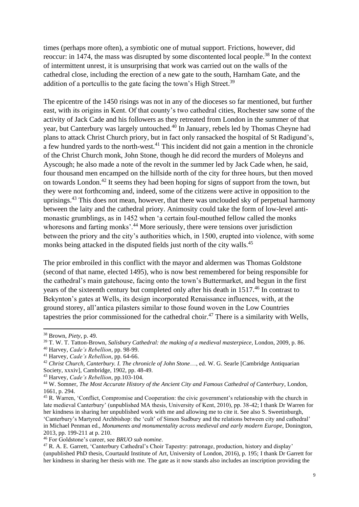times (perhaps more often), a symbiotic one of mutual support. Frictions, however, did reoccur: in 1474, the mass was disrupted by some discontented local people.<sup>38</sup> In the context of intermittent unrest, it is unsurprising that work was carried out on the walls of the cathedral close, including the erection of a new gate to the south, Harnham Gate, and the addition of a portcullis to the gate facing the town's High Street.<sup>39</sup>

The epicentre of the 1450 risings was not in any of the dioceses so far mentioned, but further east, with its origins in Kent. Of that county's two cathedral cities, Rochester saw some of the activity of Jack Cade and his followers as they retreated from London in the summer of that year, but Canterbury was largely untouched.<sup>40</sup> In January, rebels led by Thomas Cheyne had plans to attack Christ Church priory, but in fact only ransacked the hospital of St Radigund's, a few hundred yards to the north-west.<sup>41</sup> This incident did not gain a mention in the chronicle of the Christ Church monk, John Stone, though he did record the murders of Moleyns and Ayscough; he also made a note of the revolt in the summer led by Jack Cade when, he said, four thousand men encamped on the hillside north of the city for three hours, but then moved on towards London.<sup>42</sup> It seems they had been hoping for signs of support from the town, but they were not forthcoming and, indeed, some of the citizens were active in opposition to the uprisings.<sup>43</sup> This does not mean, however, that there was unclouded sky of perpetual harmony between the laity and the cathedral priory. Animosity could take the form of low-level antimonastic grumblings, as in 1452 when 'a certain foul-mouthed fellow called the monks whoresons and farting monks'.<sup>44</sup> More seriously, there were tensions over jurisdiction between the priory and the city's authorities which, in 1500, erupted into violence, with some monks being attacked in the disputed fields just north of the city walls.<sup>45</sup>

The prior embroiled in this conflict with the mayor and aldermen was Thomas Goldstone (second of that name, elected 1495), who is now best remembered for being responsible for the cathedral's main gatehouse, facing onto the town's Buttermarket, and begun in the first years of the sixteenth century but completed only after his death in 1517.<sup>46</sup> In contrast to Bekynton's gates at Wells, its design incorporated Renaissance influences, with, at the ground storey, all'antica pilasters similar to those found woven in the Low Countries tapestries the prior commissioned for the cathedral choir.<sup>47</sup> There is a similarity with Wells,

<sup>38</sup> Brown, *Piety*, p. 49.

<sup>39</sup> T. W. T. Tatton-Brown, *Salisbury Cathedral: the making of a medieval masterpiece*, London, 2009, p. 86.

<sup>40</sup> Harvey, *Cade's Rebellion*, pp. 98-99.

<sup>41</sup> Harvey, *Cade's Rebellion*, pp. 64-66.

<sup>42</sup> *Christ Church, Canterbury. I. The chronicle of John Stone*…, ed. W. G. Searle [Cambridge Antiquarian Society, xxxiv], Cambridge, 1902, pp. 48-49.

<sup>43</sup> Harvey, *Cade's Rebellion*, pp.103-104.

<sup>44</sup> W. Somner, *The Most Accurate History of the Ancient City and Famous Cathedral of Canterbury*, London, 1661, p. 294.

<sup>&</sup>lt;sup>45</sup> R. Warren, 'Conflict, Compromise and Cooperation: the civic government's relationship with the church in late medieval Canterbury' (unpublished MA thesis, University of Kent, 2010), pp. 38-42; I thank Dr Warren for her kindness in sharing her unpublished work with me and allowing me to cite it. See also S. Sweetinburgh, 'Canterbury's Martyred Archbishop: the 'cult' of Simon Sudbury and the relations between city and cathedral' in Michael Penman ed., *Monuments and monumentality across medieval and early modern Europe*, Donington, 2013, pp. 199-211 at p. 210.

<sup>46</sup> For Goldstone's career, see *BRUO sub nomine*.

<sup>47</sup> R. A. E. Garrett, 'Canterbury Cathedral's Choir Tapestry: patronage, production, history and display' (unpublished PhD thesis, Courtauld Institute of Art, University of London, 2016), p. 195; I thank Dr Garrett for her kindness in sharing her thesis with me. The gate as it now stands also includes an inscription providing the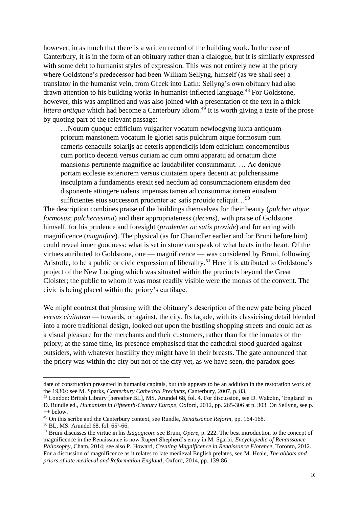however, in as much that there is a written record of the building work. In the case of Canterbury, it is in the form of an obituary rather than a dialogue, but it is similarly expressed with some debt to humanist styles of expression. This was not entirely new at the priory where Goldstone's predecessor had been William Sellyng, himself (as we shall see) a translator in the humanist vein, from Greek into Latin: Sellyng's own obituary had also drawn attention to his building works in humanist-inflected language.<sup>48</sup> For Goldstone, however, this was amplified and was also joined with a presentation of the text in a thick *littera antiqua* which had become a Canterbury idiom.<sup>49</sup> It is worth giving a taste of the prose by quoting part of the relevant passage:

…Nouum quoque edificium vulgariter vocatum newlodgyng iuxta antiquam priorum mansionem vocatum le gloriet satis pulchrum atque formosum cum cameris cenaculis solarijs ac ceteris appendicijs idem edificium concernentibus cum portico decenti versus curiam ac cum omni apparatu ad ornatum dicte mansionis pertinente magnifice ac laudabiliter consummauit. … Ac denique portam ecclesie exteriorem versus ciuitatem opera decenti ac pulcherissime insculptam a fundamentis erexit sed necdum ad consummacionem eiusdem deo disponente attingere ualens impensas tamen ad consummacionem eiusdem sufficientes eius successori prudenter ac satis prouide reliquit...<sup>50</sup>

The description combines praise of the buildings themselves for their beauty (*pulcher atque formosus*; *pulcherissima*) and their appropriateness (*decens*), with praise of Goldstone himself, for his prudence and foresight (*prudenter ac satis provide*) and for acting with magnificence (*magnifice*). The physical (as for Chaundler earlier and for Bruni before him) could reveal inner goodness: what is set in stone can speak of what beats in the heart. Of the virtues attributed to Goldstone, one — magnificence — was considered by Bruni, following Aristotle, to be a public or civic expression of liberality.<sup>51</sup> Here it is attributed to Goldstone's project of the New Lodging which was situated within the precincts beyond the Great Cloister; the public to whom it was most readily visible were the monks of the convent. The civic is being placed within the priory's curtilage.

We might contrast that phrasing with the obituary's description of the new gate being placed *versus civitatem* — towards, or against, the city. Its façade, with its classicising detail blended into a more traditional design, looked out upon the bustling shopping streets and could act as a visual pleasure for the merchants and their customers, rather than for the inmates of the priory; at the same time, its presence emphasised that the cathedral stood guarded against outsiders, with whatever hostility they might have in their breasts. The gate announced that the priory was within the city but not of the city yet, as we have seen, the paradox goes

date of construction presented in humanist capitals, but this appears to be an addition in the restoration work of the 1930s: see M. Sparks, *Canterbury Cathedral Precincts*, Canterbury, 2007, p. 83.

<sup>48</sup> London: British Library [hereafter BL], MS. Arundel 68, fol. 4. For discussion, see D. Wakelin, 'England' in D. Rundle ed., *Humanism in Fifteenth-Century Europe*, Oxford, 2012, pp. 265-306 at p. 303. On Sellyng, see p. ++ below.

<sup>49</sup> On this scribe and the Canterbury context, see Rundle, *Renaissance Reform*, pp. 164-168.

 $50$  BL, MS. Arundel 68, fol. 65 $v$ -66.

<sup>51</sup> Bruni discusses the virtue in his *Isagogicon*: see Bruni, *Opere*, p. 222. The best introduction to the concept of magnificence in the Renaissance is now Rupert Shepherd's entry in M. Sgarbi, *Encyclopedia of Renaissance Philosophy*, Cham, 2014; see also P. Howard, *Creating Magnificence in Renaissance Florence*, Toronto, 2012. For a discussion of magnificence as it relates to late medieval English prelates, see M. Heale, *The abbots and priors of late medieval and Reformation England*, Oxford, 2014, pp. 139-86.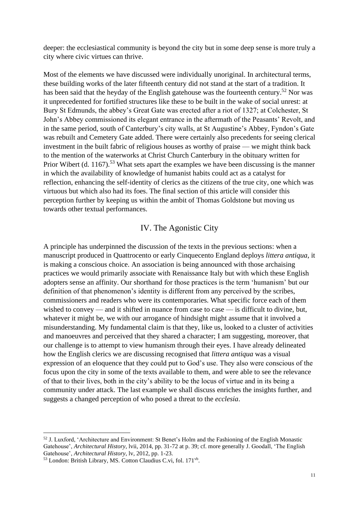deeper: the ecclesiastical community is beyond the city but in some deep sense is more truly a city where civic virtues can thrive.

Most of the elements we have discussed were individually unoriginal. In architectural terms, these building works of the later fifteenth century did not stand at the start of a tradition. It has been said that the heyday of the English gatehouse was the fourteenth century.<sup>52</sup> Nor was it unprecedented for fortified structures like these to be built in the wake of social unrest: at Bury St Edmunds, the abbey's Great Gate was erected after a riot of 1327; at Colchester, St John's Abbey commissioned its elegant entrance in the aftermath of the Peasants' Revolt, and in the same period, south of Canterbury's city walls, at St Augustine's Abbey, Fyndon's Gate was rebuilt and Cemetery Gate added. There were certainly also precedents for seeing clerical investment in the built fabric of religious houses as worthy of praise — we might think back to the mention of the waterworks at Christ Church Canterbury in the obituary written for Prior Wibert (d. 1167).<sup>53</sup> What sets apart the examples we have been discussing is the manner in which the availability of knowledge of humanist habits could act as a catalyst for reflection, enhancing the self-identity of clerics as the citizens of the true city, one which was virtuous but which also had its foes. The final section of this article will consider this perception further by keeping us within the ambit of Thomas Goldstone but moving us towards other textual performances.

## IV. The Agonistic City

A principle has underpinned the discussion of the texts in the previous sections: when a manuscript produced in Quattrocento or early Cinquecento England deploys *littera antiqua*, it is making a conscious choice. An association is being announced with those archaising practices we would primarily associate with Renaissance Italy but with which these English adopters sense an affinity. Our shorthand for those practices is the term 'humanism' but our definition of that phenomenon's identity is different from any perceived by the scribes, commissioners and readers who were its contemporaries. What specific force each of them wished to convey — and it shifted in nuance from case to case — is difficult to divine, but, whatever it might be, we with our arrogance of hindsight might assume that it involved a misunderstanding. My fundamental claim is that they, like us, looked to a cluster of activities and manoeuvres and perceived that they shared a character; I am suggesting, moreover, that our challenge is to attempt to view humanism through their eyes. I have already delineated how the English clerics we are discussing recognised that *littera antiqua* was a visual expression of an eloquence that they could put to God's use. They also were conscious of the focus upon the city in some of the texts available to them, and were able to see the relevance of that to their lives, both in the city's ability to be the locus of virtue and in its being a community under attack. The last example we shall discuss enriches the insights further, and suggests a changed perception of who posed a threat to the *ecclesia*.

<sup>52</sup> J. Luxford, 'Architecture and Environment: St Benet's Holm and the Fashioning of the English Monastic Gatehouse', *Architectural History*, lvii, 2014, pp. 31-72 at p. 39; cf. more generally J. Goodall, 'The English Gatehouse', *Architectural History*, lv, 2012, pp. 1-23.

<sup>53</sup> London: British Library, MS. Cotton Claudius C.vi, fol. 171vb.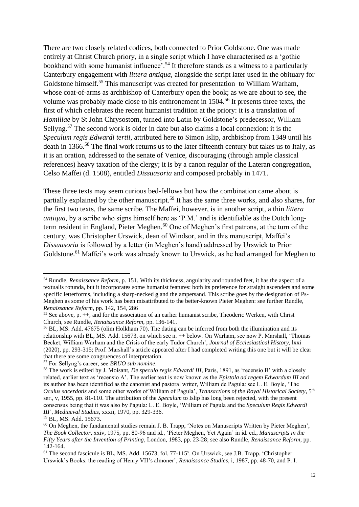There are two closely related codices, both connected to Prior Goldstone. One was made entirely at Christ Church priory, in a single script which I have characterised as a 'gothic bookhand with some humanist influence'.<sup>54</sup> It therefore stands as a witness to a particularly Canterbury engagement with *littera antiqua*, alongside the script later used in the obituary for Goldstone himself.<sup>55</sup> This manuscript was created for presentation to William Warham, whose coat-of-arms as archbishop of Canterbury open the book; as we are about to see, the volume was probably made close to his enthronement in 1504.<sup>56</sup> It presents three texts, the first of which celebrates the recent humanist tradition at the priory: it is a translation of *Homiliae* by St John Chrysostom, turned into Latin by Goldstone's predecessor, William Sellyng.<sup>57</sup> The second work is older in date but also claims a local connexion: it is the *Speculum regis Edwardi tertii*, attributed here to Simon Islip, archbishop from 1349 until his death in 1366.<sup>58</sup> The final work returns us to the later fifteenth century but takes us to Italy, as it is an oration, addressed to the senate of Venice, discouraging (through ample classical references) heavy taxation of the clergy; it is by a canon regular of the Lateran congregation, Celso Maffei (d. 1508), entitled *Dissuasoria* and composed probably in 1471.

These three texts may seem curious bed-fellows but how the combination came about is partially explained by the other manuscript.<sup>59</sup> It has the same three works, and also shares, for the first two texts, the same scribe. The Maffei, however, is in another script, a thin *littera antiqua*, by a scribe who signs himself here as 'P.M.' and is identifiable as the Dutch longterm resident in England, Pieter Meghen.<sup>60</sup> One of Meghen's first patrons, at the turn of the century, was Christopher Urswick, dean of Windsor, and in this manuscript, Maffei's *Dissuasoria* is followed by a letter (in Meghen's hand) addressed by Urswick to Prior Goldstone.<sup>61</sup> Maffei's work was already known to Urswick, as he had arranged for Meghen to

<sup>54</sup> Rundle, *Renaissance Reform*, p. 151. With its thickness, angularity and rounded feet, it has the aspect of a textualis rotunda, but it incorporates some humanist features: both its preference for straight ascenders and some specific letterforms, including a sharp-necked **g** and the ampersand. This scribe goes by the designation of Ps-Meghen as some of his work has been misattributed to the better-known Pieter Meghen: see further Rundle, *Renaissance Reform*, pp. 142, 154, 286

<sup>&</sup>lt;sup>55</sup> See above, p.  $++$ , and for the association of an earlier humanist scribe, Theoderic Werken, with Christ Church, see Rundle, *Renaissance Reform*, pp. 136-141.

<sup>56</sup> BL, MS. Add. 47675 (olim Holkham 70). The dating can be inferred from both the illumination and its relationship with BL, MS. Add. 15673, on which see n. ++ below. On Warham, see now P. Marshall, 'Thomas Becket, William Warham and the Crisis of the early Tudor Church', *Journal of Ecclesiastical History*, lxxi (2020), pp. 293-315; Prof. Marshall's article appeared after I had completed writing this one but it will be clear that there are some congruences of interpretation.

<sup>57</sup> For Sellyng's career, see *BRUO sub nomine*.

<sup>&</sup>lt;sup>58</sup> The work is edited by J. Moisant, *De speculo regis Edwardi III*, Paris, 1891, as 'recensio B' with a closely related, earlier text as 'recensio A'. The earlier text is now known as the *Epistola ad regem Edwardum III* and its author has been identified as the canonist and pastoral writer, William de Pagula: see L. E. Boyle, 'The *Oculus sacerdotis* and some other works of William of Pagula', *Transactions of the Royal Historical Society*, 5th ser., v, 1955, pp. 81-110. The attribution of the *Speculum* to Islip has long been rejected, with the present consensus being that it was also by Pagula: L. E. Boyle, 'William of Pagula and the *Speculum Regis Edwardi III*', *Mediaeval Studies*, xxxii, 1970, pp. 329-336.

<sup>59</sup> BL, MS. Add. 15673.

 $60$  On Meghen, the fundamental studies remain J. B. Trapp, 'Notes on Manuscripts Written by Pieter Meghen', *The Book Collector*, xxiv, 1975, pp. 80-96 and id., 'Pieter Meghen, Yet Again' in id. ed., *Manuscripts in the Fifty Years after the Invention of Printing*, London, 1983, pp. 23-28; see also Rundle, *Renaissance Reform*, pp. 142-164.

 $<sup>61</sup>$  The second fascicule is BL, MS. Add. 15673, fol. 77-115<sup>v</sup>. On Urswick, see J.B. Trapp, 'Christopher</sup> Urswick's Books: the reading of Henry VII's almoner', *Renaissance Studies*, i, 1987, pp. 48-70, and P. I.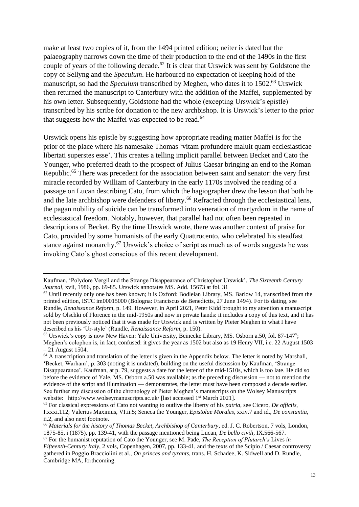make at least two copies of it, from the 1494 printed edition; neiter is dated but the palaeography narrows down the time of their production to the end of the 1490s in the first couple of years of the following decade.<sup>62</sup> It is clear that Urswick was sent by Goldstone the copy of Sellyng and the *Speculum*. He harboured no expectation of keeping hold of the manuscript, so had the *Speculum* transcribed by Meghen, who dates it to 1502.<sup>63</sup> Urswick then returned the manuscript to Canterbury with the addition of the Maffei, supplemented by his own letter. Subsequently, Goldstone had the whole (excepting Urswick's epistle) transcribed by his scribe for donation to the new archbishop. It is Urswick's letter to the prior that suggests how the Maffei was expected to be read.<sup>64</sup>

Urswick opens his epistle by suggesting how appropriate reading matter Maffei is for the prior of the place where his namesake Thomas 'vitam profundere maluit quam ecclesiasticae libertati superstes esse'. This creates a telling implicit parallel between Becket and Cato the Younger, who preferred death to the prospect of Julius Caesar bringing an end to the Roman Republic.<sup>65</sup> There was precedent for the association between saint and senator: the very first miracle recorded by William of Canterbury in the early 1170s involved the reading of a passage on Lucan describing Cato, from which the hagiographer drew the lesson that both he and the late archbishop were defenders of liberty.<sup>66</sup> Refracted through the ecclesiastical lens, the pagan nobility of suicide can be transformed into veneration of martyrdom in the name of ecclesiastical freedom. Notably, however, that parallel had not often been repeated in descriptions of Becket. By the time Urswick wrote, there was another context of praise for Cato, provided by some humanists of the early Quattrocento, who celebrated his steadfast stance against monarchy.<sup>67</sup> Urswick's choice of script as much as of words suggests he was invoking Cato's ghost conscious of this recent development.

Kaufman, 'Polydore Vergil and the Strange Disappearance of Christopher Urswick', *The Sixteenth Century Journal*, xvii, 1986, pp. 69-85. Urswick annotates MS. Add. 15673 at fol. 31

<sup>&</sup>lt;sup>62</sup> Until recently only one has been known; it is Oxford: Bodleian Library, MS. Barlow 14, transcribed from the printed edition, ISTC im00015000 (Bologna: Franciscus de Benedictis, 27 June 1494). For its dating, see Rundle, *Renaissance Reform*, p. 149. However, in April 2021, Peter Kidd brought to my attention a manuscript sold by Olschki of Florence in the mid-1950s and now in private hands: it includes a copy of this text, and it has not been previously noticed that it was made for Urswick and is written by Pieter Meghen in what I have described as his 'Ur-style' (Rundle, *Renaissance Reform*, p. 150).

<sup>&</sup>lt;sup>63</sup> Urswick's copy is now New Haven: Yale University, Beinecke Library, MS. Osborn a.50, fol. 87-147<sup>v</sup>; Meghen's colophon is, in fact, confused: it gives the year as 1502 but also as 19 Henry VII, i.e. 22 August 1503 – 21 August 1504.

<sup>&</sup>lt;sup>64</sup> A transcription and translation of the letter is given in the Appendix below. The letter is noted by Marshall, 'Becket, Warham', p. 303 (noting it is undated), building on the useful discussion by Kaufman, 'Strange Disappearance'. Kaufman, at p. 79, suggests a date for the letter of the mid-1510s, which is too late. He did so before the evidence of Yale, MS. Osborn a.50 was available; as the preceding discussion — not to mention the evidence of the script and illumination — demonstrates, the letter must have been composed a decade earlier. See further my discussion of the chronology of Pieter Meghen's manuscripts on the Wolsey Manuscripts website: http://www.wolseymanuscripts.ac.uk/ [last accessed 1<sup>st</sup> March 2021].

<sup>65</sup> For classical expressions of Cato not wanting to outlive the liberty of his *patria*, see Cicero, *De officiis*, I.xxxi.112; Valerius Maximus, VI.ii.5; Seneca the Younger, *Epistolae Morales*, xxiv.7 and id., *De constantia*, ii.2, and also next footnote.

<sup>66</sup> *Materials for the history of Thomas Becket, Archbishop of Canterbury*, ed. J. C. Robertson, 7 vols, London, 1875-85, i (1875), pp. 139-41, with the passage mentioned being Lucan, *De bello civili*, IX.566-567.

<sup>67</sup> For the humanist reputation of Cato the Younger, see M. Pade, *The Reception of Plutarch's* Lives *in Fifteenth-Century Italy*, 2 vols, Copenhagen, 2007, pp. 133-41, and the texts of the Scipio / Caesar controversy gathered in Poggio Bracciolini et al., *On princes and tyrants*, trans. H. Schadee, K. Sidwell and D. Rundle, Cambridge MA, forthcoming.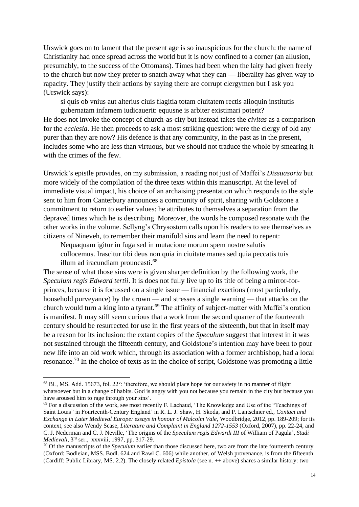Urswick goes on to lament that the present age is so inauspicious for the church: the name of Christianity had once spread across the world but it is now confined to a corner (an allusion, presumably, to the success of the Ottomans). Times had been when the laity had given freely to the church but now they prefer to snatch away what they can — liberality has given way to rapacity. They justify their actions by saying there are corrupt clergymen but I ask you (Urswick says):

si quis ob vnius aut alterius ciuis flagitia totam ciuitatem rectis alioquin institutis gubernatam infamem iudicauerit: equusne is arbiter existimari poterit?

He does not invoke the concept of church-as-city but instead takes the *civitas* as a comparison for the *ecclesia*. He then proceeds to ask a most striking question: were the clergy of old any purer than they are now? His defence is that any community, in the past as in the present, includes some who are less than virtuous, but we should not traduce the whole by smearing it with the crimes of the few.

Urswick's epistle provides, on my submission, a reading not just of Maffei's *Dissuasoria* but more widely of the compilation of the three texts within this manuscript. At the level of immediate visual impact, his choice of an archaising presentation which responds to the style sent to him from Canterbury announces a community of spirit, sharing with Goldstone a commitment to return to earlier values: he attributes to themselves a separation from the depraved times which he is describing. Moreover, the words he composed resonate with the other works in the volume. Sellyng's Chrysostom calls upon his readers to see themselves as citizens of Nineveh, to remember their manifold sins and learn the need to repent:

Nequaquam igitur in fuga sed in mutacione morum spem nostre salutis collocemus. Irascitur tibi deus non quia in ciuitate manes sed quia peccatis tuis illum ad iracundiam prouocasti.<sup>68</sup>

The sense of what those sins were is given sharper definition by the following work, the *Speculum regis Edward tertii*. It is does not fully live up to its title of being a mirror-forprinces, because it is focussed on a single issue — financial exactions (most particularly, household purveyance) by the crown — and stresses a single warning — that attacks on the church would turn a king into a tyrant.<sup>69</sup> The affinity of subject-matter with Maffei's oration is manifest. It may still seem curious that a work from the second quarter of the fourteenth century should be resurrected for use in the first years of the sixteenth, but that in itself may be a reason for its inclusion: the extant copies of the *Speculum* suggest that interest in it was not sustained through the fifteenth century, and Goldstone's intention may have been to pour new life into an old work which, through its association with a former archbishop, had a local resonance.<sup>70</sup> In the choice of texts as in the choice of script, Goldstone was promoting a little

<sup>&</sup>lt;sup>68</sup> BL, MS. Add. 15673, fol. 22<sup>y</sup>: 'therefore, we should place hope for our safety in no manner of flight whatsoever but in a change of habits. God is angry with you not because you remain in the city but because you have aroused him to rage through your sins'.

<sup>&</sup>lt;sup>69</sup> For a discussion of the work, see most recently F. Lachaud, 'The Knowledge and Use of the "Teachings of Saint Louis" in Fourteenth-Century England' in R. L. J. Shaw, H. Skoda, and P. Lantschner ed., *Contact and Exchange in Later Medieval Europe: essays in honour of Malcolm Vale*, Woodbridge, 2012, pp. 189-209; for its context, see also Wendy Scase, *Literature and Complaint in England 1272-1553* (Oxford, 2007), pp. 22-24, and C. J. Nederman and C. J. Neville, 'The origins of the *Speculum regis Edwardi III* of William of Pagula', *Studi Medievali*, 3 rd ser., xxxviii, 1997, pp. 317-29.

<sup>70</sup> Of the manuscripts of the *Speculum* earlier than those discussed here, two are from the late fourteenth century (Oxford: Bodleian, MSS. Bodl. 624 and Rawl C. 606) while another, of Welsh provenance, is from the fifteenth (Cardiff: Public Library, MS. 2.2). The closely related *Epistola* (see n. ++ above) shares a similar history: two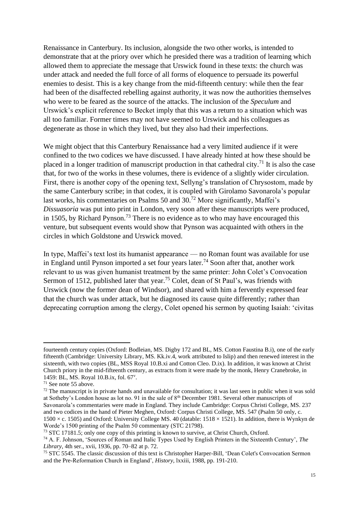Renaissance in Canterbury. Its inclusion, alongside the two other works, is intended to demonstrate that at the priory over which he presided there was a tradition of learning which allowed them to appreciate the message that Urswick found in these texts: the church was under attack and needed the full force of all forms of eloquence to persuade its powerful enemies to desist. This is a key change from the mid-fifteenth century: while then the fear had been of the disaffected rebelling against authority, it was now the authorities themselves who were to be feared as the source of the attacks. The inclusion of the *Speculum* and Urswick's explicit reference to Becket imply that this was a return to a situation which was all too familiar. Former times may not have seemed to Urswick and his colleagues as degenerate as those in which they lived, but they also had their imperfections.

We might object that this Canterbury Renaissance had a very limited audience if it were confined to the two codices we have discussed. I have already hinted at how these should be placed in a longer tradition of manuscript production in that cathedral city.<sup>71</sup> It is also the case that, for two of the works in these volumes, there is evidence of a slightly wider circulation. First, there is another copy of the opening text, Sellyng's translation of Chrysostom, made by the same Canterbury scribe; in that codex, it is coupled with Girolamo Savonarola's popular last works, his commentaries on Psalms 50 and 30.<sup>72</sup> More significantly, Maffei's *Dissuasoria* was put into print in London, very soon after these manuscripts were produced, in 1505, by Richard Pynson.<sup>73</sup> There is no evidence as to who may have encouraged this venture, but subsequent events would show that Pynson was acquainted with others in the circles in which Goldstone and Urswick moved.

In type, Maffei's text lost its humanist appearance — no Roman fount was available for use in England until Pynson imported a set four years later.<sup>74</sup> Soon after that, another work relevant to us was given humanist treatment by the same printer: John Colet's Convocation Sermon of 1512, published later that year.<sup>75</sup> Colet, dean of St Paul's, was friends with Urswick (now the former dean of Windsor), and shared with him a fervently expressed fear that the church was under attack, but he diagnosed its cause quite differently; rather than deprecating corruption among the clergy, Colet opened his sermon by quoting Isaiah: 'civitas

fourteenth century copies (Oxford: Bodleian, MS. Digby 172 and BL, MS. Cotton Faustina B.i), one of the early fifteenth (Cambridge: University Library, MS. Kk.iv.4, work attributed to Islip) and then renewed interest in the sixteenth, with two copies (BL, MSS Royal 10.B.xi and Cotton Cleo. D.ix). In addition, it was known at Christ Church priory in the mid-fifteenth century, as extracts from it were made by the monk, Henry Cranebroke, in 1459: BL, MS. Royal 10.B.ix, fol. 67<sup>v</sup> .

<sup>71</sup> See note 55 above.

 $72$  The manuscript is in private hands and unavailable for consultation; it was last seen in public when it was sold at Sotheby's London house as lot no. 91 in the sale of 8th December 1981. Several other manuscripts of Savonarola's commentaries were made in England. They include Cambridge: Corpus Christi College, MS. 237 and two codices in the hand of Pieter Meghen, Oxford: Corpus Christi College, MS. 547 (Psalm 50 only, c.  $1500 \times c$ . 1505) and Oxford: University College MS. 40 (datable:  $1518 \times 1521$ ). In addition, there is Wynkyn de Worde's 1500 printing of the Psalm 50 commentary (STC 21798).

<sup>&</sup>lt;sup>73</sup> STC 17181.5; only one copy of this printing is known to survive, at Christ Church, Oxford.

<sup>74</sup> A. F. Johnson, 'Sources of Roman and Italic Types Used by English Printers in the Sixteenth Century', *The Library*, 4th ser., xvii, 1936, pp. 70–82 at p. 72.

<sup>&</sup>lt;sup>75</sup> STC 5545. The classic discussion of this text is Christopher Harper-Bill, 'Dean Colet's Convocation Sermon and the Pre-Reformation Church in England', *History*, lxxiii, 1988, pp. 191-210.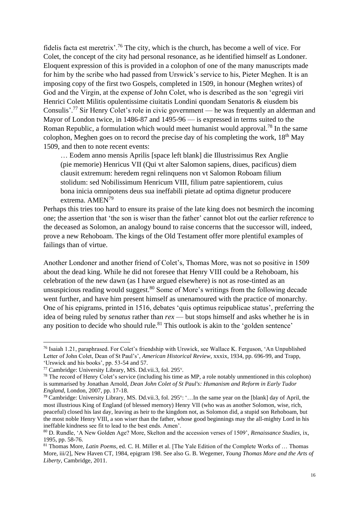fidelis facta est meretrix'.<sup>76</sup> The city, which is the church, has become a well of vice. For Colet, the concept of the city had personal resonance, as he identified himself as Londoner. Eloquent expression of this is provided in a colophon of one of the many manuscripts made for him by the scribe who had passed from Urswick's service to his, Pieter Meghen. It is an imposing copy of the first two Gospels, completed in 1509, in honour (Meghen writes) of God and the Virgin, at the expense of John Colet, who is described as the son 'egregii viri Henrici Colett Militis opulentissime ciuitatis Londini quondam Senatoris & eiusdem bis Consulis'.<sup>77</sup> Sir Henry Colet's role in civic government — he was frequently an alderman and Mayor of London twice, in 1486-87 and 1495-96 — is expressed in terms suited to the Roman Republic, a formulation which would meet humanist would approval.<sup>78</sup> In the same colophon, Meghen goes on to record the precise day of his completing the work,  $18<sup>th</sup>$  May 1509, and then to note recent events:

… Eodem anno mensis Aprilis [space left blank] die Illustrissimus Rex Anglie (pie memorie) Henricus VII (Qui vt alter Salomon sapiens, diues, pacificus) diem clausit extremum: heredem regni relinquens non vt Salomon Roboam filium stolidum: sed Nobilissimum Henricum VIII, filium patre sapientiorem, cuius bona inicia omnipotens deus sua ineffabili pietate ad optima dignetur producere extrema. AMEN<sup>79</sup>

Perhaps this tries too hard to ensure its praise of the late king does not besmirch the incoming one; the assertion that 'the son is wiser than the father' cannot blot out the earlier reference to the deceased as Solomon, an analogy bound to raise concerns that the successor will, indeed, prove a new Rehoboam. The kings of the Old Testament offer more plentiful examples of failings than of virtue.

Another Londoner and another friend of Colet's, Thomas More, was not so positive in 1509 about the dead king. While he did not foresee that Henry VIII could be a Rehoboam, his celebration of the new dawn (as I have argued elsewhere) is not as rose-tinted as an unsuspicious reading would suggest.<sup>80</sup> Some of More's writings from the following decade went further, and have him present himself as unenamoured with the practice of monarchy. One of his epigrams, printed in 1516, debates 'quis optimus reipublicae status', preferring the idea of being ruled by *senatus* rather than *rex* — but stops himself and asks whether he is in any position to decide who should rule.<sup>81</sup> This outlook is akin to the 'golden sentence'

<sup>76</sup> Isaiah 1.21, paraphrased. For Colet's friendship with Urswick, see Wallace K. Ferguson, 'An Unpublished Letter of John Colet, Dean of St Paul's', *American Historical Review*, xxxix, 1934, pp. 696-99, and Trapp, 'Urswick and his books', pp. 53-54 and 57.

<sup>&</sup>lt;sup>77</sup> Cambridge: University Library, MS. Dd.vii.3, fol. 295<sup>v</sup>.

 $78$  The record of Henry Colet's service (including his time as MP, a role notably unmentioned in this colophon) is summarised by Jonathan Arnold, *Dean John Colet of St Paul's: Humanism and Reform in Early Tudor England*, London, 2007, pp. 17-18.

<sup>79</sup> Cambridge: University Library, MS. Dd.vii.3, fol. 295<sup>v</sup>: '...In the same year on the [blank] day of April, the most illustrious King of England (of blessed memory) Henry VII (who was as another Solomon, wise, rich, peaceful) closed his last day, leaving as heir to the kingdom not, as Solomon did, a stupid son Rehoboam, but the most noble Henry VIII, a son wiser than the father, whose good beginnings may the all-mighty Lord in his ineffable kindness see fit to lead to the best ends. Amen'.

<sup>80</sup> D. Rundle, 'A New Golden Age? More, Skelton and the accession verses of 1509', *Renaissance Studies,* ix, 1995, pp. 58-76.

<sup>81</sup> Thomas More, *Latin Poems*, ed. C. H. Miller et al. [The Yale Edition of the Complete Works of … Thomas More, iii/2], New Haven CT, 1984, epigram 198. See also G. B. Wegemer, *Young Thomas More and the Arts of Liberty*, Cambridge, 2011.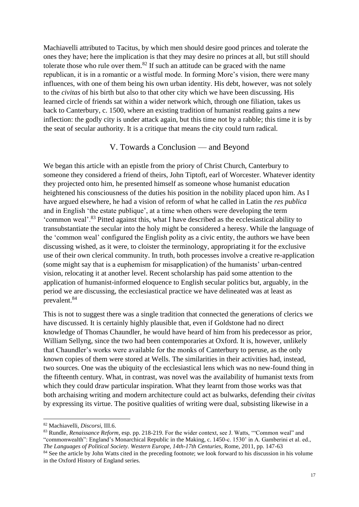Machiavelli attributed to Tacitus, by which men should desire good princes and tolerate the ones they have; here the implication is that they may desire no princes at all, but still should tolerate those who rule over them. $82$  If such an attitude can be graced with the name republican, it is in a romantic or a wistful mode. In forming More's vision, there were many influences, with one of them being his own urban identity. His debt, however, was not solely to the *civitas* of his birth but also to that other city which we have been discussing. His learned circle of friends sat within a wider network which, through one filiation, takes us back to Canterbury, c. 1500, where an existing tradition of humanist reading gains a new inflection: the godly city is under attack again, but this time not by a rabble; this time it is by the seat of secular authority. It is a critique that means the city could turn radical.

#### V. Towards a Conclusion — and Beyond

We began this article with an epistle from the priory of Christ Church, Canterbury to someone they considered a friend of theirs, John Tiptoft, earl of Worcester. Whatever identity they projected onto him, he presented himself as someone whose humanist education heightened his consciousness of the duties his position in the nobility placed upon him. As I have argued elsewhere, he had a vision of reform of what he called in Latin the *res publica*  and in English 'the estate publique', at a time when others were developing the term 'common weal'.<sup>83</sup> Pitted against this, what I have described as the ecclesiastical ability to transubstantiate the secular into the holy might be considered a heresy. While the language of the 'common weal' configured the English polity as a civic entity, the authors we have been discussing wished, as it were, to cloister the terminology, appropriating it for the exclusive use of their own clerical community. In truth, both processes involve a creative re-application (some might say that is a euphemism for misapplication) of the humanists' urban-centred vision, relocating it at another level. Recent scholarship has paid some attention to the application of humanist-informed eloquence to English secular politics but, arguably, in the period we are discussing, the ecclesiastical practice we have delineated was at least as prevalent.<sup>84</sup>

This is not to suggest there was a single tradition that connected the generations of clerics we have discussed. It is certainly highly plausible that, even if Goldstone had no direct knowledge of Thomas Chaundler, he would have heard of him from his predecessor as prior, William Sellyng, since the two had been contemporaries at Oxford. It is, however, unlikely that Chaundler's works were available for the monks of Canterbury to peruse, as the only known copies of them were stored at Wells. The similarities in their activities had, instead, two sources. One was the ubiquity of the ecclesiastical lens which was no new-found thing in the fifteenth century. What, in contrast, was novel was the availability of humanist texts from which they could draw particular inspiration. What they learnt from those works was that both archaising writing and modern architecture could act as bulwarks, defending their *civitas*  by expressing its virtue. The positive qualities of writing were dual, subsisting likewise in a

<sup>82</sup> Machiavelli, *Discorsi*, III.6.

<sup>83</sup> Rundle, *Renaissance Reform*, esp. pp. 218-219. For the wider context, see J. Watts, '"Common weal" and "commonwealth": England's Monarchical Republic in the Making, c. 1450-c. 1530' in A. Gamberini et al. ed., *The Languages of Political Society. Western Europe, 14th-17th Centuries*, Rome, 2011, pp. 147-63

<sup>&</sup>lt;sup>84</sup> See the article by John Watts cited in the preceding footnote; we look forward to his discussion in his volume in the Oxford History of England series.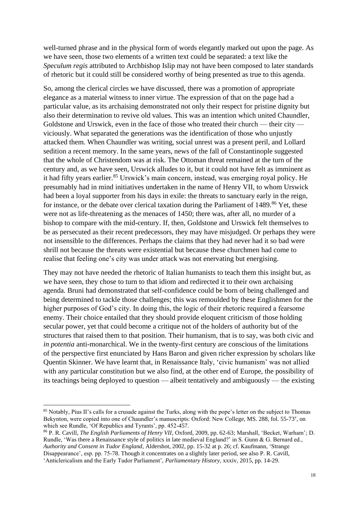well-turned phrase and in the physical form of words elegantly marked out upon the page. As we have seen, those two elements of a written text could be separated: a text like the *Speculum regis* attributed to Archbishop Islip may not have been composed to later standards of rhetoric but it could still be considered worthy of being presented as true to this agenda.

So, among the clerical circles we have discussed, there was a promotion of appropriate elegance as a material witness to inner virtue. The expression of that on the page had a particular value, as its archaising demonstrated not only their respect for pristine dignity but also their determination to revive old values. This was an intention which united Chaundler, Goldstone and Urswick, even in the face of those who treated their church — their city viciously. What separated the generations was the identification of those who unjustly attacked them. When Chaundler was writing, social unrest was a present peril, and Lollard sedition a recent memory. In the same years, news of the fall of Constantinople suggested that the whole of Christendom was at risk. The Ottoman threat remained at the turn of the century and, as we have seen, Urswick alludes to it, but it could not have felt as imminent as it had fifty years earlier.<sup>85</sup> Urswick's main concern, instead, was emerging royal policy. He presumably had in mind initiatives undertaken in the name of Henry VII, to whom Urswick had been a loyal supporter from his days in exile: the threats to sanctuary early in the reign, for instance, or the debate over clerical taxation during the Parliament of  $1489$ .<sup>86</sup> Yet, these were not as life-threatening as the menaces of 1450; there was, after all, no murder of a bishop to compare with the mid-century. If, then, Goldstone and Urswick felt themselves to be as persecuted as their recent predecessors, they may have misjudged. Or perhaps they were not insensible to the differences. Perhaps the claims that they had never had it so bad were shrill not because the threats were existential but because these churchmen had come to realise that feeling one's city was under attack was not enervating but energising.

They may not have needed the rhetoric of Italian humanists to teach them this insight but, as we have seen, they chose to turn to that idiom and redirected it to their own archaising agenda. Bruni had demonstrated that self-confidence could be born of being challenged and being determined to tackle those challenges; this was remoulded by these Englishmen for the higher purposes of God's city. In doing this, the logic of their rhetoric required a fearsome enemy. Their choice entailed that they should provide eloquent criticism of those holding secular power, yet that could become a critique not of the holders of authority but of the structures that raised them to that position. Their humanism, that is to say, was both civic and *in potentia* anti-monarchical. We in the twenty-first century are conscious of the limitations of the perspective first enunciated by Hans Baron and given richer expression by scholars like Quentin Skinner. We have learnt that, in Renaissance Italy, 'civic humanism' was not allied with any particular constitution but we also find, at the other end of Europe, the possibility of its teachings being deployed to question — albeit tentatively and ambiguously — the existing

<sup>&</sup>lt;sup>85</sup> Notably, Pius II's calls for a crusade against the Turks, along with the pope's letter on the subject to Thomas Bekynton, were copied into one of Chaundler's manuscripts: Oxford: New College, MS. 288, fol. 55-73', on which see Rundle, 'Of Republics and Tyrants', pp. 452-457.

<sup>86</sup> P. R. Cavill, *The English Parliaments of Henry VII*, Oxford, 2009, pp. 62-63; Marshall, 'Becket, Warham'; D. Rundle, 'Was there a Renaissance style of politics in late medieval England?' in S. Gunn & G. Bernard ed., *Authority and Consent in Tudor England*, Aldershot, 2002, pp. 15-32 at p. 26; cf. Kaufmann, 'Strange Disappearance', esp. pp. 75-78. Though it concentrates on a slightly later period, see also P. R. Cavill, 'Anticlericalism and the Early Tudor Parliament', *Parliamentary History*, xxxiv, 2015, pp. 14-29.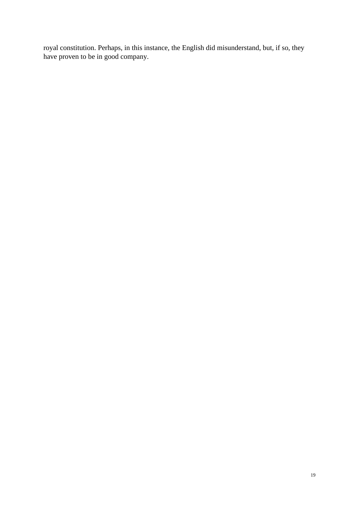royal constitution. Perhaps, in this instance, the English did misunderstand, but, if so, they have proven to be in good company.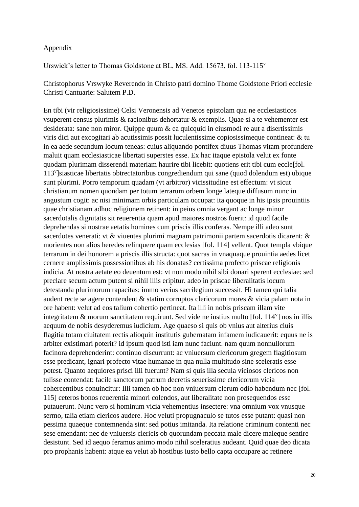#### Appendix

Urswick's letter to Thomas Goldstone at BL, MS. Add. 15673, fol. 113-115<sup>v</sup>

Christophorus Vrswyke Reverendo in Christo patri domino Thome Goldstone Priori ecclesie Christi Cantuarie: Salutem P.D.

En tibi (vir religiosissime) Celsi Veronensis ad Venetos epistolam qua ne ecclesiasticos vsuperent census plurimis & racionibus dehortatur & exemplis. Quae si a te vehementer est desiderata: sane non miror. Quippe quum & ea quicquid in eiusmodi re aut a disertissimis viris dici aut excogitari ab acutissimis possit luculentissime copiosissimeque contineat: & tu in ea aede secundum locum teneas: cuius aliquando pontifex diuus Thomas vitam profundere maluit quam ecclesiasticae libertati superstes esse. Ex hac itaque epistola velut ex fonte quodam plurimam disserendi materiam haurire tibi licebit: quotiens erit tibi cum eccle[fol. 113<sup>v</sup> ]siasticae libertatis obtrectatoribus congrediendum qui sane (quod dolendum est) ubique sunt plurimi. Porro temporum quadam (vt arbitror) vicissitudine est effectum: vt sicut christianum nomen quondam per totum terrarum orbem longe lateque diffusum nunc in angustum cogit: ac nisi minimam orbis particulam occupat: ita quoque in his ipsis prouintiis quae christianam adhuc religionem retinent: in peius omnia vergant ac longe minor sacerdotalis dignitatis sit reuerentia quam apud maiores nostros fuerit: id quod facile deprehendas si nostrae aetatis homines cum priscis illis conferas. Nempe illi adeo sunt sacerdotes venerati: vt & viuentes plurimi magnam patrimonii partem sacerdotis dicarent: & morientes non alios heredes relinquere quam ecclesias [fol. 114] vellent. Quot templa vbique terrarum in dei honorem a priscis illis structa: quot sacras in vnaquaque prouintia aedes licet cernere amplissimis possessionibus ab his donatas? certissima profecto priscae religionis indicia. At nostra aetate eo deuentum est: vt non modo nihil sibi donari sperent ecclesiae: sed preclare secum actum putent si nihil illis eripitur. adeo in priscae liberalitatis locum detestanda plurimorum rapacitas: immo verius sacrilegium successit. Hi tamen qui talia audent recte se agere contendent & statim corruptos clericorum mores & vicia palam nota in ore habent: velut ad eos talium cohertio pertineat. Ita illi in nobis priscam illam vite integritatem & morum sanctitatem requirunt. Sed vide ne iustius multo [fol. 114<sup>v</sup>] nos in illis aequum de nobis desyderemus iudicium. Age quaeso si quis ob vnius aut alterius ciuis flagitia totam ciuitatem rectis alioquin institutis gubernatam infamem iudicauerit: equus ne is arbiter existimari poterit? id ipsum quod isti iam nunc faciunt. nam quum nonnullorum facinora deprehenderint: continuo discurrunt: ac vniuersum clericorum gregem flagitiosum esse predicant, ignari profecto vitae humanae in qua nulla multitudo sine sceleratis esse potest. Quanto aequiores prisci illi fuerunt? Nam si quis illa secula viciosos clericos non tulisse contendat: facile sanctorum patrum decretis seuerissime clericorum vicia cohercentibus conuincitur: Illi tamen ob hoc non vniuersum clerum odio habendum nec [fol. 115] ceteros bonos reuerentia minori colendos, aut liberalitate non prosequendos esse putauerunt. Nunc vero si hominum vicia vehementius insectere: vna omnium vox vnusque sermo, talia etiam clericos audere. Hoc veluti propugnaculo se tutos esse putant: quasi non pessima quaeque contemnenda sint: sed potius imitanda. Ita relatione criminum contenti nec sese emendant: nec de vniuersis clericis ob quorundam peccata male dicere maleque sentire desistunt. Sed id aequo feramus animo modo nihil sceleratius audeant. Quid quae deo dicata pro prophanis habent: atque ea velut ab hostibus iusto bello capta occupare ac retinere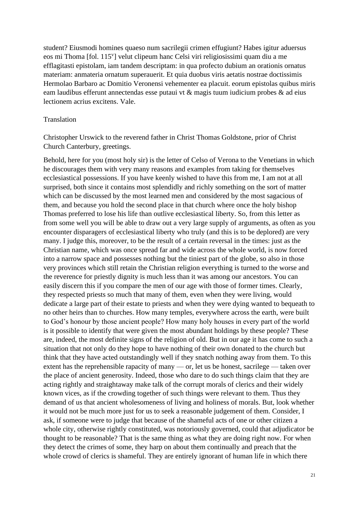student? Eiusmodi homines quaeso num sacrilegii crimen effugiunt? Habes igitur aduersus eos mi Thoma [fol. 115<sup>v</sup>] velut clipeum hanc Celsi viri religiosissimi quam diu a me efflagitasti epistolam, iam tandem descriptam: in qua profecto dubium an orationis ornatus materiam: anmateria ornatum superauerit. Et quia duobus viris aetatis nostrae doctissimis Hermolao Barbaro ac Domitio Veronensi vehementer ea placuit. eorum epistolas quibus miris eam laudibus efferunt annectendas esse putaui vt & magis tuum iudicium probes & ad eius lectionem acrius excitens. Vale.

#### Translation

Christopher Urswick to the reverend father in Christ Thomas Goldstone, prior of Christ Church Canterbury, greetings.

Behold, here for you (most holy sir) is the letter of Celso of Verona to the Venetians in which he discourages them with very many reasons and examples from taking for themselves ecclesiastical possessions. If you have keenly wished to have this from me, I am not at all surprised, both since it contains most splendidly and richly something on the sort of matter which can be discussed by the most learned men and considered by the most sagacious of them, and because you hold the second place in that church where once the holy bishop Thomas preferred to lose his life than outlive ecclesiastical liberty. So, from this letter as from some well you will be able to draw out a very large supply of arguments, as often as you encounter disparagers of ecclesiastical liberty who truly (and this is to be deplored) are very many. I judge this, moreover, to be the result of a certain reversal in the times: just as the Christian name, which was once spread far and wide across the whole world, is now forced into a narrow space and possesses nothing but the tiniest part of the globe, so also in those very provinces which still retain the Christian religion everything is turned to the worse and the reverence for priestly dignity is much less than it was among our ancestors. You can easily discern this if you compare the men of our age with those of former times. Clearly, they respected priests so much that many of them, even when they were living, would dedicate a large part of their estate to priests and when they were dying wanted to bequeath to no other heirs than to churches. How many temples, everywhere across the earth, were built to God's honour by those ancient people? How many holy houses in every part of the world is it possible to identify that were given the most abundant holdings by these people? These are, indeed, the most definite signs of the religion of old. But in our age it has come to such a situation that not only do they hope to have nothing of their own donated to the church but think that they have acted outstandingly well if they snatch nothing away from them. To this extent has the reprehensible rapacity of many — or, let us be honest, sacrilege — taken over the place of ancient generosity. Indeed, those who dare to do such things claim that they are acting rightly and straightaway make talk of the corrupt morals of clerics and their widely known vices, as if the crowding together of such things were relevant to them. Thus they demand of us that ancient wholesomeness of living and holiness of morals. But, look whether it would not be much more just for us to seek a reasonable judgement of them. Consider, I ask, if someone were to judge that because of the shameful acts of one or other citizen a whole city, otherwise rightly constituted, was notoriously governed, could that adjudicator be thought to be reasonable? That is the same thing as what they are doing right now. For when they detect the crimes of some, they harp on about them continually and preach that the whole crowd of clerics is shameful. They are entirely ignorant of human life in which there